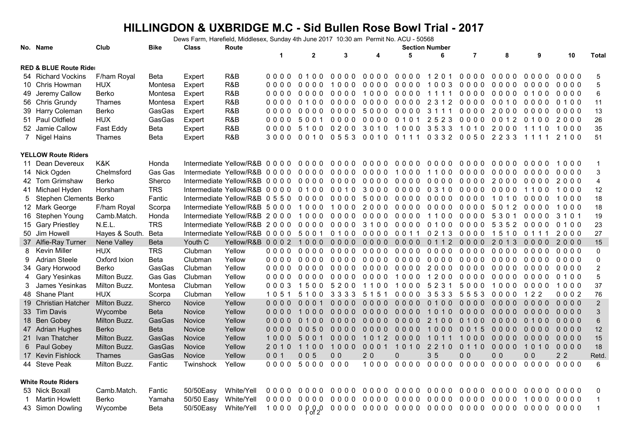## **HILLINGDON & UXBRIDGE M.C - Sid Bullen Rose Bowl Trial - 2017**

Dews Farm, Harefield, Middlesex, Sunday 4th June 2017 10:30 am Permit No. ACU - 50568

|   | No. Name                          | Club           | <b>Bike</b> | Class         | Route                                       |         |                |                |                                    |        | <b>Section Number</b> |                          |                |                |                |                |
|---|-----------------------------------|----------------|-------------|---------------|---------------------------------------------|---------|----------------|----------------|------------------------------------|--------|-----------------------|--------------------------|----------------|----------------|----------------|----------------|
|   |                                   |                |             |               |                                             | 1       | $\mathbf{2}$   | 3              | 4                                  | 5      | 6                     | $\overline{7}$           | 8              | 9              | 10             | <b>Total</b>   |
|   | <b>RED &amp; BLUE Route Rider</b> |                |             |               |                                             |         |                |                |                                    |        |                       |                          |                |                |                |                |
|   | 54 Richard Vockins                | F/ham Royal    | Beta        | Expert        | R&B                                         | 0000    | $0.100$        | 0000           | 0000                               | 0000   | 1201                  | 0000                     | 0000           | 0000           | 0000           | 5              |
|   | 10 Chris Howman                   | <b>HUX</b>     | Montesa     | Expert        | R&B                                         | 0000    | 0000           | 1000           | 0000                               | 0000   | 1003                  | 0000                     | 0000           | 0000           | 0000           | $\mathbf 5$    |
|   | 49 Jeremy Callow                  | Berko          | Montesa     | Expert        | R&B                                         | 0000    | 0000 0000      |                | 1000                               | 0000   | 1111                  |                          | 0000 0000      | 0100           | 0000           | 6              |
|   | 56 Chris Grundy                   | Thames         | Montesa     | Expert        | R&B                                         | 0000    | 0100           | 0000           | 0000                               | 0000   | 2 3 1 2               | 0000                     | 0010           | 0000           | 0100           | 11             |
|   | 39 Harry Coleman                  | Berko          | GasGas      | Expert        | R&B                                         | 0000    | 0000           | 0000           | 5000                               | 0000   | 3 1 1 1               | 0000                     | 2000           | 0000           | 0000           | 13             |
|   | 51 Paul Oldfield                  | <b>HUX</b>     | GasGas      | Expert        | R&B                                         |         | 0000 5001      |                | 0000 0000                          | 0101   | 2523                  |                          | 0000 0012      | 0100           | 2000           | 26             |
|   | 52 Jamie Callow                   | Fast Eddy      | Beta        | Expert        | R&B                                         | 0000    | 5100           | 0200           | 3010                               | 1000   |                       | 3533 1010 2000           |                | 1110           | 1000           | 35             |
|   | 7 Nigel Hains                     | <b>Thames</b>  | Beta        | Expert        | R&B                                         | 3000    | 0010 0553 0010 |                |                                    | 0111   |                       | 0332 0050 2233           |                | 1111           | 2100           | 51             |
|   | <b>YELLOW Route Riders</b>        |                |             |               |                                             |         |                |                |                                    |        |                       |                          |                |                |                |                |
|   | 11 Dean Devereux                  | K&K            | Honda       |               | Intermediate Yellow/R&B 0 0 0 0             |         | 0000           | 0000           | 0000                               | 0000   | 0000                  | 0000                     | 0000           | 0000           | 1000           | $\mathbf{1}$   |
|   | 14 Nick Ogden                     | Chelmsford     | Gas Gas     |               | Intermediate Yellow/R&B 0 0 0 0             |         | 0000           | 0000           | 0000                               | 1000   | 1100                  | 0000                     | 0000           | 0000           | 0000           | $\sqrt{3}$     |
|   | 42 Tom Grimshaw                   | Berko          | Sherco      |               | Intermediate Yellow/R&B 0 0 0 0             |         | 0000           | 0000           | 0000                               | 0000   | 0000                  | 0000                     | 2000           | 0000           | 2000           | $\overline{4}$ |
|   | 41 Michael Hyden                  | Horsham        | <b>TRS</b>  |               | Intermediate Yellow/R&B 0 0 0 0             |         | 0100 0010 3000 |                |                                    | 0000   | 0 3 1 0               | 0000                     | 0000           | 1100           | 1000           | 12             |
|   | 5 Stephen Clements Berko          |                | Fantic      |               | Intermediate Yellow/R&B 0 5 5 0             |         | 0000           | 0000           | 5000                               | 0000   | 0000                  | 0000                     | 1010           | 0000           | 1000           | 18             |
|   | 12 Mark George                    | F/ham Royal    | Scorpa      |               | Intermediate Yellow/R&B 5 0 0 0             |         | 1000           | 1000           | 2000                               | 0000   | 0000                  | 0000                     | 5012           | 0000           | 1000           | 18             |
|   | 16 Stephen Young                  | Camb.Match.    | Honda       |               | Intermediate Yellow/R&B 2 0 0 0             |         | 1000           | 0000           | 0000                               | 0000   | 1100                  | 0000                     | 5301           | 0000           | 3 1 0 1        | 19             |
|   | 15 Gary Priestley                 | N.E.L.         | <b>TRS</b>  |               | Intermediate Yellow/R&B 2000 0000 0000 3100 |         |                |                |                                    | 0000   | 0100                  | 0000 5352 0000           |                |                | 0100           | 23             |
|   | 50 Jim Howell                     | Hayes & South. | <b>Beta</b> |               | Intermediate Yellow/R&B 0 0 0 0             |         | 5001           |                | 0100 0000                          | 0011   | 0 2 1 3               | 0000                     | 1510           | 0 1 1 1        | 2000           | 27             |
|   | 37 Alfie-Ray Turner               | Nene Valley    | <b>Beta</b> | Youth C       | Yellow/R&B 0002 1000                        |         |                | $0000$         | $0000$                             | $0000$ | 0112                  | $0000$                   | 2 0 1 3        | 0000           | 2000           | 15             |
| 8 | Kevin Miller                      | <b>HUX</b>     | <b>TRS</b>  | Clubman       | Yellow                                      | 0000    | 0000           | 0000           | 0000                               | 0000   | 0000                  | 0000                     | 0000           | 0000           | 0000           | $\pmb{0}$      |
| 9 | <b>Adrian Steele</b>              | Oxford Ixion   | Beta        | Clubman       | Yellow                                      | 0000    | 0000 0000 0000 |                |                                    | 0000   | 0000                  | 0000                     | 0000           | 0000           | 0000           | $\pmb{0}$      |
|   | 34 Gary Horwood                   | Berko          | GasGas      | Clubman       | Yellow                                      | 0000    | 0000           | 0000           | 0000                               | 0000   | 2000                  | 0000                     | 0000           | 0000           | 0000           | $\overline{2}$ |
| 4 | <b>Gary Yesinkas</b>              | Milton Buzz.   | Gas Gas     | Clubman       | Yellow                                      | 0000    | 0000           | 0000           | 0000                               | 1000   | 1200                  | 0000                     | 0000           | 0000           | 0100           | $\mathbf 5$    |
| 3 | James Yesinkas                    | Milton Buzz.   | Montesa     | Clubman       | Yellow                                      | $0003$  | 1500           | 5200           | 1100                               | 1000   | 5 2 3 1               | 5000                     | 1000           | 0000           | 1000           | 37             |
|   | 48 Shane Plant                    | <b>HUX</b>     | Scorpa      | Clubman       | Yellow                                      | 1051    | 5100 3333      |                | 5151                               | 0000   |                       | 35335553                 | 0000           | 122            | 0002           | 76             |
|   | 19 Christian Hatcher              | Milton Buzz.   | Sherco      | <b>Novice</b> | Yellow                                      | $0000$  | 0001           | $0000$         | $0000$                             | $0000$ | 0100                  | 0000                     | 0000           | 0000           | $0000$         | $\overline{2}$ |
|   | 33 Tim Davis                      | Wycombe        | <b>Beta</b> | Novice        | Yellow                                      | 0000    | 1000           | 0000           | $0000$                             | 0000   | 1010                  | $0000$                   | 0000           | 0000           | $0000$         | $\mathbf{3}$   |
|   | 18 Ben Gobey                      | Milton Buzz.   | GasGas      | Novice        | Yellow                                      | 0000    | 0100           | $0000$         | $0000$                             | 0000   | 2 1 0 0               | 0100                     | $0000$         | 0100           | $0000$         | $\,6\,$        |
|   | 47 Adrian Hughes                  | <b>Berko</b>   | <b>Beta</b> | Novice        | Yellow                                      | 0000    | $0050$         | $0000$         | 0000                               | 0000   | 1000                  | 0 0 1 5                  | $0000$         | 0000           | $0000$         | 12             |
|   | 21 Ivan Thatcher                  | Milton Buzz.   | GasGas      | Novice        | Yellow                                      | 1000    | 5001           | 0000           | 2<br>101                           | 0000   | 1011                  | 1000                     | $0000$         | 0000           | 0000           | 15             |
| 6 | Paul Gobey                        | Milton Buzz.   | GasGas      | Novice        | Yellow                                      | 2 0 1 0 | 1100           | 1000           | 0001                               | 1010   | 2 2 1 0               | 0110                     | 0000           | 1010           | 0000           | 18             |
|   | 17 Kevin Fishlock                 | <b>Thames</b>  | GasGas      | <b>Novice</b> | Yellow                                      | 001     | 005            | 0 <sub>0</sub> | 20                                 | 0      | 35                    | 0 <sub>0</sub>           | 0 <sub>0</sub> | 0 <sub>0</sub> | 2 <sub>2</sub> | <b>Retd</b>    |
|   | 44 Steve Peak                     | Milton Buzz.   | Fantic      | Twinshock     | Yellow                                      | $0000$  | 5000 000       |                |                                    |        |                       | 1000 0000 0000 0000 0000 |                | 0000           | 0000           | 6              |
|   | <b>White Route Riders</b>         |                |             |               |                                             |         |                |                |                                    |        |                       |                          |                |                |                |                |
|   | 53 Nick Boxall                    | Camb.Match.    | Fantic      | 50/50Easy     | White/Yell                                  | 0000    |                | 0000 0000      | 0000                               | 0000   | 0000                  | 0000                     | 0000           | 0000           | 0000           | 0              |
|   | <b>Martin Howlett</b>             | <b>Berko</b>   | Yamaha      | 50/50 Easy    | White/Yell                                  | 0000    | 0000           | 0000           | 0000                               | 0000   | 0000                  | 0000                     | 0000           | 1000           | 0000           | $\mathbf{1}$   |
|   | 43 Simon Dowling                  | Wycombe        | Beta        | 50/50Easy     | White/Yell                                  | 1000    | 0.0000         |                | 0000 0000 0000 0000 0000 0000 0000 |        |                       |                          |                |                | 0000           | $\overline{1}$ |